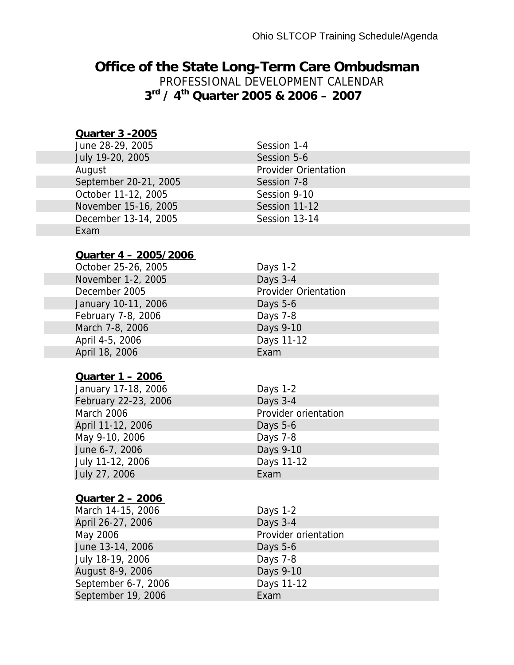### **Office of the State Long-Term Care Ombudsman**

PROFESSIONAL DEVELOPMENT CALENDAR **3rd / 4th Quarter 2005 & 2006 – 2007** 

#### **Quarter 3 -2005**

| June 28-29, 2005      | Session 1-4                 |
|-----------------------|-----------------------------|
| July 19-20, 2005      | Session 5-6                 |
| August                | <b>Provider Orientation</b> |
| September 20-21, 2005 | Session 7-8                 |
| October 11-12, 2005   | Session 9-10                |
| November 15-16, 2005  | Session 11-12               |
| December 13-14, 2005  | Session 13-14               |
| Exam                  |                             |

#### **Quarter 4 – 2005/2006**

| October 25-26, 2005 | Days 1-2 |
|---------------------|----------|
| November 1-2, 2005  | Days 3-4 |
| December 2005       | Provider |
| January 10-11, 2006 | Days 5-6 |
| February 7-8, 2006  | Days 7-8 |
| March 7-8, 2006     | Days 9-1 |
| April 4-5, 2006     | Days 11- |
| April 18, 2006      | Exam     |

#### **Quarter 1 – 2006**

January 17-18, 2006 Days 1-2 February 22-23, 2006 Days 3-4 March 2006 **Provider orientation** April 11-12, 2006 Days 5-6 May 9-10, 2006 Days 7-8 June 6-7, 2006 **Days 9-10** July 11-12, 2006 Days 11-12 July 27, 2006 Exam

# **Quarter 2 – 2006**

March 14-15, 2006 Days 1-2 April 26-27, 2006 Days 3-4 June 13-14, 2006 Days 5-6 July 18-19, 2006 Days 7-8 August 8-9, 2006 Days 9-10 September 6-7, 2006 Days 11-12 September 19, 2006 Exam

### Days 3-4 Provider Orientation Days 5-6 Days 7-8 Days 9-10 Days 11-12 Exam

May 2006 **Provider orientation**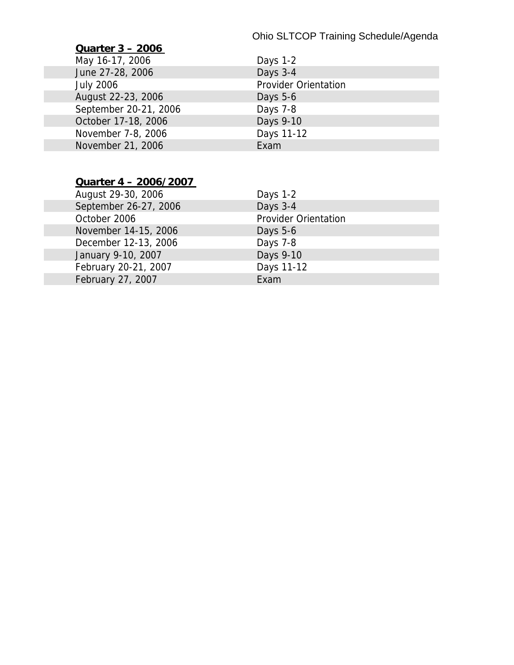#### Ohio SLTCOP Training Schedule/Agenda

#### **Quarter 3 – 2006**

May 16-17, 2006 June 27-28, 2006 July 2006 August 22-23, 2006 September 20-21, 2006 October 17-18, 2006 November 7-8, 2006 November 21, 2006

| Days 1-2                    |  |
|-----------------------------|--|
| Days 3-4                    |  |
| <b>Provider Orientation</b> |  |
| Days 5-6                    |  |
| Days 7-8                    |  |
| Days 9-10                   |  |
| Days 11-12                  |  |
| Exam                        |  |

#### **Quarter 4 – 2006/2007**

| August 29-30, 2006    | Days 1-2                    |
|-----------------------|-----------------------------|
| September 26-27, 2006 | Days 3-4                    |
| October 2006          | <b>Provider Orientation</b> |
| November 14-15, 2006  | Days $5-6$                  |
| December 12-13, 2006  | Days 7-8                    |
| January 9-10, 2007    | Days 9-10                   |
| February 20-21, 2007  | Days 11-12                  |
| February 27, 2007     | Exam                        |
|                       |                             |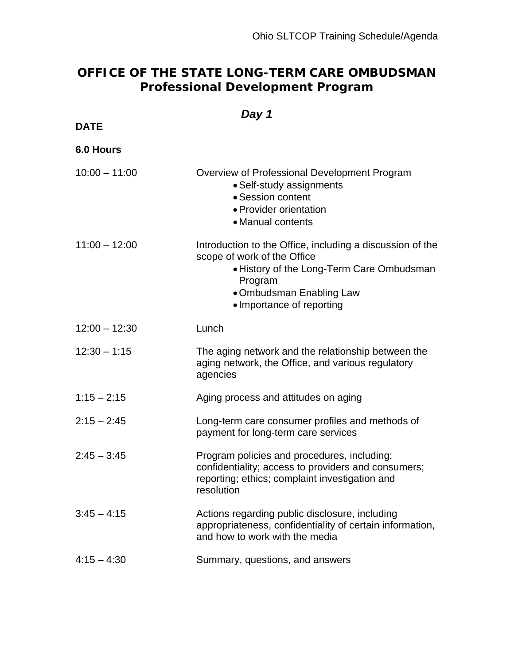### **OFFICE OF THE STATE LONG-TERM CARE OMBUDSMAN Professional Development Program**

### *Day 1*

**DATE** 

**6.0 Hours** 

| $10:00 - 11:00$ | Overview of Professional Development Program |
|-----------------|----------------------------------------------|

| 1 V.VV<br>— 11.UU | Overview of Froressional Development Frogram<br>• Self-study assignments<br>• Session content<br>• Provider orientation<br>• Manual contents                                                              |
|-------------------|-----------------------------------------------------------------------------------------------------------------------------------------------------------------------------------------------------------|
| $11:00 - 12:00$   | Introduction to the Office, including a discussion of the<br>scope of work of the Office<br>• History of the Long-Term Care Ombudsman<br>Program<br>• Ombudsman Enabling Law<br>• Importance of reporting |
| $12:00 - 12:30$   | Lunch                                                                                                                                                                                                     |
| $12:30 - 1:15$    | The aging network and the relationship between the<br>aging network, the Office, and various regulatory<br>agencies                                                                                       |
| $1:15 - 2:15$     | Aging process and attitudes on aging                                                                                                                                                                      |
| $2:15 - 2:45$     | Long-term care consumer profiles and methods of<br>payment for long-term care services                                                                                                                    |
| $2:45 - 3:45$     | Program policies and procedures, including:<br>confidentiality; access to providers and consumers;<br>reporting; ethics; complaint investigation and<br>resolution                                        |
| $3:45 - 4:15$     | Actions regarding public disclosure, including<br>appropriateness, confidentiality of certain information,<br>and how to work with the media                                                              |
| $4:15 - 4:30$     | Summary, questions, and answers                                                                                                                                                                           |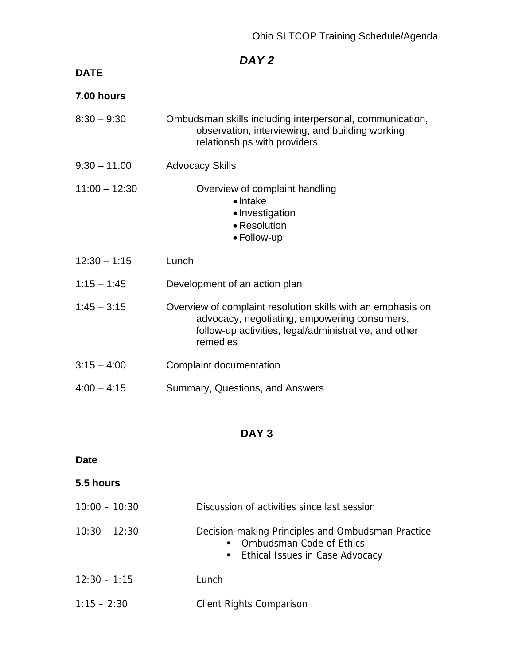### **DATE**

| 7.00 hours      |                                                                                                                                                                                  |
|-----------------|----------------------------------------------------------------------------------------------------------------------------------------------------------------------------------|
| $8:30 - 9:30$   | Ombudsman skills including interpersonal, communication,<br>observation, interviewing, and building working<br>relationships with providers                                      |
| $9:30 - 11:00$  | <b>Advocacy Skills</b>                                                                                                                                                           |
| $11:00 - 12:30$ | Overview of complaint handling<br>$\bullet$ Intake<br>• Investigation<br>• Resolution<br>• Follow-up                                                                             |
| $12:30 - 1:15$  | Lunch                                                                                                                                                                            |
| $1:15 - 1:45$   | Development of an action plan                                                                                                                                                    |
| $1:45 - 3:15$   | Overview of complaint resolution skills with an emphasis on<br>advocacy, negotiating, empowering consumers,<br>follow-up activities, legal/administrative, and other<br>remedies |
| $3:15 - 4:00$   | Complaint documentation                                                                                                                                                          |
| $4:00 - 4:15$   | Summary, Questions, and Answers                                                                                                                                                  |

### **DAY 3**

### **Date**

| 5.5 hours       |                                                                                                                                             |
|-----------------|---------------------------------------------------------------------------------------------------------------------------------------------|
| $10:00 - 10:30$ | Discussion of activities since last session                                                                                                 |
| $10:30 - 12:30$ | Decision-making Principles and Ombudsman Practice<br><b>Ombudsman Code of Ethics</b><br>$\blacksquare$<br>• Ethical Issues in Case Advocacy |
| $12:30 - 1:15$  | Lunch                                                                                                                                       |
| $1:15 - 2:30$   | <b>Client Rights Comparison</b>                                                                                                             |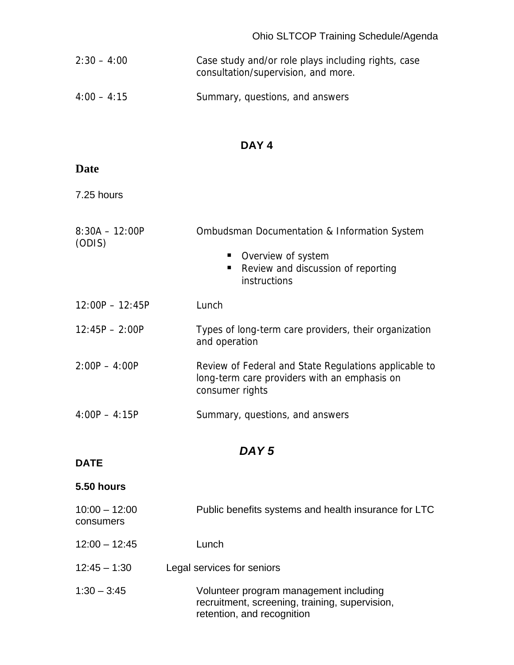| $2:30 - 4:00$ | Case study and/or role plays including rights, case |
|---------------|-----------------------------------------------------|
|               | consultation/supervision, and more.                 |

4:00 – 4:15 Summary, questions, and answers

#### **DAY 4**

| ×<br>۰.<br>٧<br>۰,<br>I |
|-------------------------|
|-------------------------|

7.25 hours

| $8:30A - 12:00P$<br>(ODIS)   | Ombudsman Documentation & Information System<br>Overview of system<br>Review and discussion of reporting<br>п<br>instructions |
|------------------------------|-------------------------------------------------------------------------------------------------------------------------------|
| $12:00P - 12:45P$            | Lunch                                                                                                                         |
| $12:45P - 2:00P$             | Types of long-term care providers, their organization<br>and operation                                                        |
| $2:00P - 4:00P$              | Review of Federal and State Regulations applicable to<br>long-term care providers with an emphasis on<br>consumer rights      |
| $4:00P - 4:15P$              | Summary, questions, and answers                                                                                               |
|                              | DAY <sub>5</sub>                                                                                                              |
| <b>DATE</b>                  |                                                                                                                               |
| <b>5.50 hours</b>            |                                                                                                                               |
| $10:00 - 12:00$<br>consumers | Public benefits systems and health insurance for LTC                                                                          |

- 12:00 12:45 Lunch
- 12:45 1:30 Legal services for seniors
- 1:30 3:45 Volunteer program management including recruitment, screening, training, supervision, retention, and recognition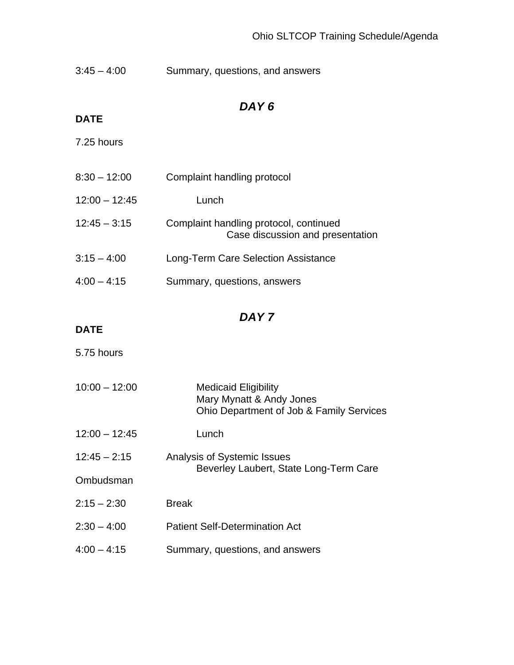| $3:45 - 4:00$ | Summary, questions, and answers |
|---------------|---------------------------------|
|---------------|---------------------------------|

### **DATE**

7.25 hours

| $8:30 - 12:00$  | Complaint handling protocol                                                |
|-----------------|----------------------------------------------------------------------------|
| $12:00 - 12:45$ | Lunch                                                                      |
| $12:45 - 3:15$  | Complaint handling protocol, continued<br>Case discussion and presentation |
| $3:15 - 4:00$   | Long-Term Care Selection Assistance                                        |
| $4:00 - 4:15$   | Summary, questions, answers                                                |

## *DAY 7*

#### **DATE**

5.75 hours

| $10:00 - 12:00$ | <b>Medicaid Eligibility</b><br>Mary Mynatt & Andy Jones<br>Ohio Department of Job & Family Services |
|-----------------|-----------------------------------------------------------------------------------------------------|
| $12:00 - 12:45$ | Lunch                                                                                               |
| $12:45 - 2:15$  | Analysis of Systemic Issues<br>Beverley Laubert, State Long-Term Care                               |
| Ombudsman       |                                                                                                     |
| $2:15 - 2:30$   | <b>Break</b>                                                                                        |
| $2:30 - 4:00$   | <b>Patient Self-Determination Act</b>                                                               |
| $4:00 - 4:15$   | Summary, questions, and answers                                                                     |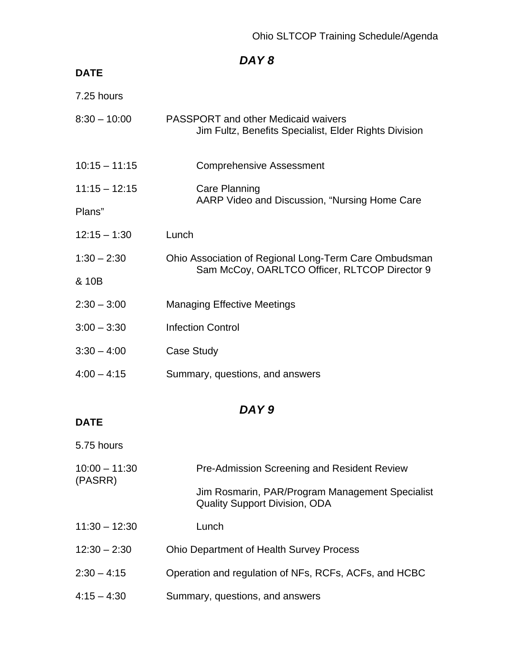### **DATE**

| 7.25 hours      |                                                                                                     |  |
|-----------------|-----------------------------------------------------------------------------------------------------|--|
| $8:30 - 10:00$  | <b>PASSPORT</b> and other Medicaid waivers<br>Jim Fultz, Benefits Specialist, Elder Rights Division |  |
| $10:15 - 11:15$ | <b>Comprehensive Assessment</b>                                                                     |  |
| $11:15 - 12:15$ | Care Planning                                                                                       |  |
| Plans"          | AARP Video and Discussion, "Nursing Home Care                                                       |  |
| $12:15 - 1:30$  | Lunch                                                                                               |  |
| $1:30 - 2:30$   | Ohio Association of Regional Long-Term Care Ombudsman                                               |  |
| & 10B           | Sam McCoy, OARLTCO Officer, RLTCOP Director 9                                                       |  |
| $2:30 - 3:00$   | <b>Managing Effective Meetings</b>                                                                  |  |
| $3:00 - 3:30$   | <b>Infection Control</b>                                                                            |  |
| $3:30 - 4:00$   | Case Study                                                                                          |  |
| $4:00 - 4:15$   | Summary, questions, and answers                                                                     |  |
|                 |                                                                                                     |  |

## *DAY 9*

### **DATE**

5.75 hours

| $10:00 - 11:30$<br>(PASRR) | <b>Pre-Admission Screening and Resident Review</b>                                      |  |
|----------------------------|-----------------------------------------------------------------------------------------|--|
|                            | Jim Rosmarin, PAR/Program Management Specialist<br><b>Quality Support Division, ODA</b> |  |
| $11:30 - 12:30$            | Lunch                                                                                   |  |
| $12:30 - 2:30$             | <b>Ohio Department of Health Survey Process</b>                                         |  |
| $2:30 - 4:15$              | Operation and regulation of NFs, RCFs, ACFs, and HCBC                                   |  |
| $4:15 - 4:30$              | Summary, questions, and answers                                                         |  |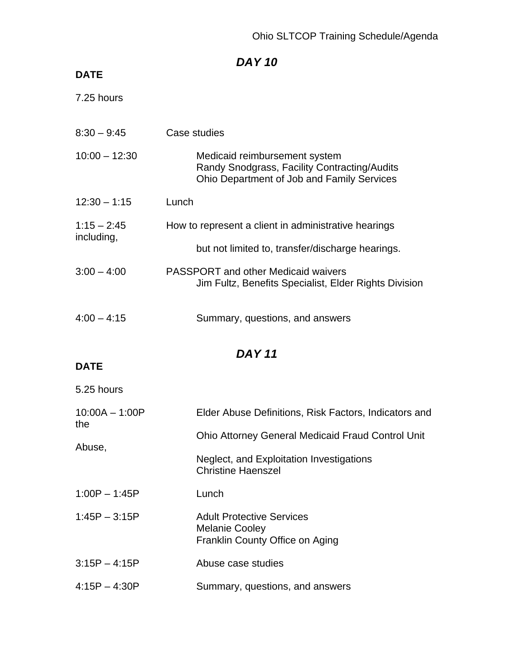## **DATE**

7.25 hours

| $8:30 - 9:45$               | Case studies                                                                                                                |  |
|-----------------------------|-----------------------------------------------------------------------------------------------------------------------------|--|
| $10:00 - 12:30$             | Medicaid reimbursement system<br>Randy Snodgrass, Facility Contracting/Audits<br>Ohio Department of Job and Family Services |  |
| $12:30 - 1:15$              | Lunch                                                                                                                       |  |
| $1:15 - 2:45$<br>including, | How to represent a client in administrative hearings                                                                        |  |
|                             | but not limited to, transfer/discharge hearings.                                                                            |  |
| $3:00 - 4:00$               | <b>PASSPORT</b> and other Medicaid waivers<br>Jim Fultz, Benefits Specialist, Elder Rights Division                         |  |
| $4:00 - 4:15$               | Summary, questions, and answers                                                                                             |  |
| <b>DAY 11</b>               |                                                                                                                             |  |
| <b>DATE</b>                 |                                                                                                                             |  |
| 5.25 hours                  |                                                                                                                             |  |
| $10:00A - 1:00P$<br>the     | Elder Abuse Definitions, Risk Factors, Indicators and                                                                       |  |
| Abuse,                      | <b>Ohio Attorney General Medicaid Fraud Control Unit</b>                                                                    |  |
|                             | Neglect, and Exploitation Investigations<br><b>Christine Haenszel</b>                                                       |  |
| $1:00P - 1:45P$             | Lunch                                                                                                                       |  |
| $1:45P - 3:15P$             | <b>Adult Protective Services</b><br><b>Melanie Cooley</b><br>Franklin County Office on Aging                                |  |
| $3:15P - 4:15P$             | Abuse case studies                                                                                                          |  |
| $4:15P - 4:30P$             | Summary, questions, and answers                                                                                             |  |